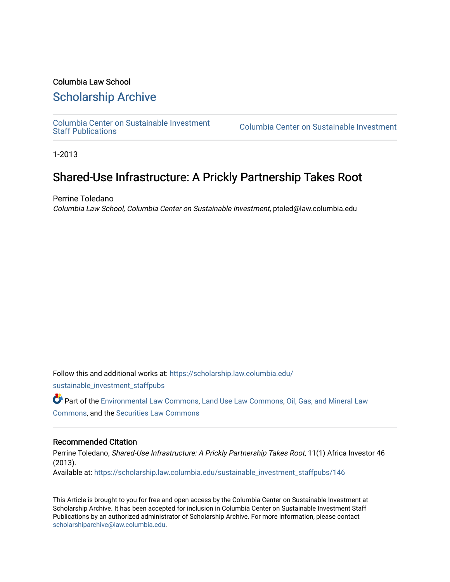#### Columbia Law School

#### [Scholarship Archive](https://scholarship.law.columbia.edu/)

[Columbia Center on Sustainable Investment](https://scholarship.law.columbia.edu/sustainable_investment_staffpubs) 

Columbia Center on Sustainable Investment

1-2013

### Shared-Use Infrastructure: A Prickly Partnership Takes Root

Perrine Toledano

Columbia Law School, Columbia Center on Sustainable Investment, ptoled@law.columbia.edu

Follow this and additional works at: [https://scholarship.law.columbia.edu/](https://scholarship.law.columbia.edu/sustainable_investment_staffpubs?utm_source=scholarship.law.columbia.edu%2Fsustainable_investment_staffpubs%2F146&utm_medium=PDF&utm_campaign=PDFCoverPages)

[sustainable\\_investment\\_staffpubs](https://scholarship.law.columbia.edu/sustainable_investment_staffpubs?utm_source=scholarship.law.columbia.edu%2Fsustainable_investment_staffpubs%2F146&utm_medium=PDF&utm_campaign=PDFCoverPages)

Part of the [Environmental Law Commons](http://network.bepress.com/hgg/discipline/599?utm_source=scholarship.law.columbia.edu%2Fsustainable_investment_staffpubs%2F146&utm_medium=PDF&utm_campaign=PDFCoverPages), [Land Use Law Commons,](http://network.bepress.com/hgg/discipline/852?utm_source=scholarship.law.columbia.edu%2Fsustainable_investment_staffpubs%2F146&utm_medium=PDF&utm_campaign=PDFCoverPages) [Oil, Gas, and Mineral Law](http://network.bepress.com/hgg/discipline/864?utm_source=scholarship.law.columbia.edu%2Fsustainable_investment_staffpubs%2F146&utm_medium=PDF&utm_campaign=PDFCoverPages)  [Commons](http://network.bepress.com/hgg/discipline/864?utm_source=scholarship.law.columbia.edu%2Fsustainable_investment_staffpubs%2F146&utm_medium=PDF&utm_campaign=PDFCoverPages), and the [Securities Law Commons](http://network.bepress.com/hgg/discipline/619?utm_source=scholarship.law.columbia.edu%2Fsustainable_investment_staffpubs%2F146&utm_medium=PDF&utm_campaign=PDFCoverPages) 

#### Recommended Citation

Perrine Toledano, Shared-Use Infrastructure: A Prickly Partnership Takes Root, 11(1) Africa Investor 46 (2013). Available at: [https://scholarship.law.columbia.edu/sustainable\\_investment\\_staffpubs/146](https://scholarship.law.columbia.edu/sustainable_investment_staffpubs/146?utm_source=scholarship.law.columbia.edu%2Fsustainable_investment_staffpubs%2F146&utm_medium=PDF&utm_campaign=PDFCoverPages) 

This Article is brought to you for free and open access by the Columbia Center on Sustainable Investment at Scholarship Archive. It has been accepted for inclusion in Columbia Center on Sustainable Investment Staff Publications by an authorized administrator of Scholarship Archive. For more information, please contact [scholarshiparchive@law.columbia.edu](mailto:scholarshiparchive@law.columbia.edu).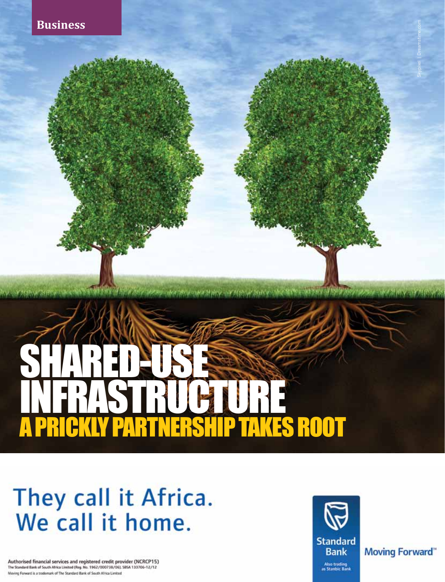# SHARED INFRASTRUCTURE A PRICKLY PARTNERSHIP TAKES ROOT

**COMMUNICATION ON A PART AND ONE OF THE NEW YORK** 

# They call it Africa.<br>We call it home.

Authorised financial services and registered credit provider (NCRCP15) The Standard Bank of South Africa Limited (Reg. No. 1962/000738/06). SBSA 133706-12/12 Moving Forward is a trademark of The Standard Bank of South Africa Limited



**Moving Forward**"

Skypixel | Dreamstime.com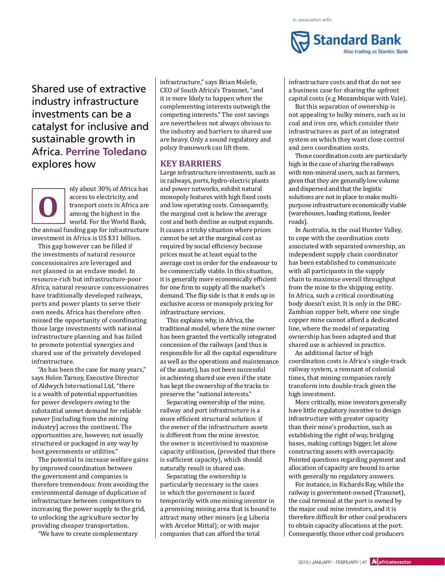

Shared use of extractive industry infrastructure investments can be a catalyst for inclusive and sustainable growth in Africa. **Perrine Toledano** explores how

**O** nly about 30% of Africa has access to electricity, and transport costs in Africa are among the highest in the world. For the World Bank, the annual funding gap for infrastructure investment in Africa is US \$31 billion.

This gap however can be filled if the investments of natural resource concessionaires are leveraged and not planned in an enclave model. In resource-rich but infrastructure-poor Africa, natural resource concessionaires have traditionally developed railways, ports and power plants to serve their own needs. Africa has therefore often missed the opportunity of coordinating those large investments with national infrastructure planning and has failed to promote potential synergies and shared use of the privately developed infrastructure.

"As has been the case for many years," says Helen Tarnoy, Executive Director of Aldwych International Ltd, "there is a wealth of potential opportunities for power developers owing to the substantial unmet demand for reliable power [including from the mining industry] across the continent. The opportunities are, however, not usually structured or packaged in any way by host governments or utilities."

The potential to increase welfare gains by improved coordination between the government and companies is therefore tremendous: from avoiding the environmental damage of duplication of infrastructure between competitors to increasing the power supply to the grid, to unlocking the agriculture sector by providing cheaper transportation.

"We have to create complementary

infrastructure," says Brian Molefe, CEO of South Africa's Transnet, "and it is more likely to happen when the complementing interests outweigh the competing interests." The cost savings are nevertheless not always obvious to the industry and barriers to shared use are heavy. Only a sound regulatory and policy framework can lift them.

#### **KEY BARRIERS**

Large infrastructure investments, such as in railways, ports, hydro-electric plants and power networks, exhibit natural monopoly features with high fixed costs and low operating costs. Consequently, the marginal cost is below the average cost and both decline as output expands. It causes a tricky situation where prices cannot be set at the marginal cost as required by social efficiency because prices must be at least equal to the average cost in order for the endeavour to be commercially viable. In this situation, it is generally more economically efficient for one firm to supply all the market's demand. The flip side is that it ends up in exclusive access or monopoly pricing for infrastructure services.

This explains why, in Africa, the traditional model, where the mine owner has been granted the vertically integrated concession of the railways (and thus is responsible for all the capital expenditure as well as the operations and maintenance of the assets), has not been successful in achieving shared use even if the state has kept the ownership of the tracks to preserve the "national interests."

Separating ownership of the mine, railway and port infrastructure is a more efficient structural solution: if the owner of the infrastructure assets is different from the mine investor, the owner is incentivised to maximise capacity utilisation, (provided that there is sufficient capacity), which should naturally result in shared use.

Separating the ownership is particularly necessary in the cases in which the government is faced temporarily with one mining investor in a promising mining area that is bound to attract many other miners (e.g Liberia with Arcelor Mittal); or with major companies that can afford the total

infrastructure costs and that do not see a business case for sharing the upfront capital costs (e.g Mozambique with Vale).

But this separation of ownership is not appealing to bulky miners, such as in coal and iron ore, which consider their infrastructures as part of an integrated system on which they want close control and zero coordination costs.

Those coordination costs are particularly high in the case of sharing the railways with non-mineral users, such as farmers, given that they are generally low volume and dispersed and that the logistic solutions are not in place to make multipurpose infrastructure economically viable (warehouses, loading stations, feeder roads).

In Australia, in the coal Hunter Valley, to cope with the coordination costs associated with separated ownership, an independent supply chain coordinator has been established to communicate with all participants in the supply chain to maximise overall throughput from the mine to the shipping entity. In Africa, such a critical coordinating body doesn't exist. It is only in the DRC-Zambian copper belt, where one single copper mine cannot afford a dedicated line, where the model of separating ownership has been adapted and that shared use is achieved in practice.

An additional factor of high coordination costs is Africa's single-track railway system, a remnant of colonial times, that mining companies rarely transform into double-track given the high investment.

More critically, mine investors generally have little regulatory incentive to design infrastructure with greater capacity than their mine's production, such as establishing the right of way, bridging bases, making cuttings bigger, let alone constructing assets with overcapacity. Pointed questions regarding payment and allocation of capacity are bound to arise with generally no regulatory answers.

For instance, in Richards Bay, while the railway is government-owned (Transnet), the coal terminal at the port is owned by the major coal mine investors, and it is therefore difficult for other coal producers to obtain capacity allocations at the port. Consequently, those other coal producers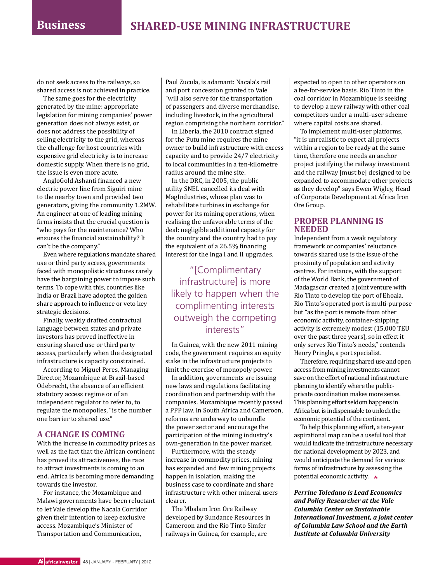do not seek access to the railways, so shared access is not achieved in practice.

The same goes for the electricity generated by the mine: appropriate legislation for mining companies' power generation does not always exist, or does not address the possibility of selling electricity to the grid, whereas the challenge for host countries with expensive grid electricity is to increase domestic supply. When there is no grid, the issue is even more acute.

AngloGold Ashanti financed a new electric power line from Siguiri mine to the nearby town and provided two generators, giving the community 1.2MW. An engineer at one of leading mining firms insists that the crucial question is "who pays for the maintenance? Who ensures the financial sustainability? It can't be the company."

Even where regulations mandate shared use or third party access, governments faced with monopolistic structures rarely have the bargaining power to impose such terms. To cope with this, countries like India or Brazil have adopted the golden share approach to influence or veto key strategic decisions.

Finally, weakly drafted contractual language between states and private investors has proved ineffective in ensuring shared use or third party access, particularly when the designated infrastructure is capacity constrained.

According to Miguel Peres, Managing Director, Mozambique at Brazil-based Odebrecht, the absence of an efficient statutory access regime or of an independent regulator to refer to, to regulate the monopolies, "is the number one barrier to shared use."

#### **A CHANGE IS COMING**

With the increase in commodity prices as well as the fact that the African continent has proved its attractiveness, the race to attract investments is coming to an end. Africa is becoming more demanding towards the investor.

For instance, the Mozambique and Malawi governments have been reluctant to let Vale develop the Nacala Corridor given their intention to keep exclusive access. Mozambique's Minister of Transportation and Communication,

Paul Zucula, is adamant: Nacala's rail and port concession granted to Vale "will also serve for the transportation of passengers and diverse merchandise, including livestock, in the agricultural region comprising the northern corridor."

In Liberia, the 2010 contract signed for the Putu mine requires the mine owner to build infrastructure with excess capacity and to provide 24/7 electricity to local communities in a ten-kilometre radius around the mine site.

In the DRC, in 2005, the public utility SNEL cancelled its deal with MagIndustries, whose plan was to rehabilitate turbines in exchange for power for its mining operations, when realising the unfavorable terms of the deal: negligible additional capacity for the country and the country had to pay the equivalent of a 26.5% financing interest for the Inga I and II upgrades.

"[Complimentary infrastructure] is more likely to happen when the complimenting interests outweigh the competing interests"

In Guinea, with the new 2011 mining code, the government requires an equity stake in the infrastructure projects to limit the exercise of monopoly power.

In addition, governments are issuing new laws and regulations facilitating coordination and partnership with the companies. Mozambique recently passed a PPP law. In South Africa and Cameroon, reforms are underway to unbundle the power sector and encourage the participation of the mining industry's own-generation in the power market.

Furthermore, with the steady increase in commodity prices, mining has expanded and few mining projects happen in isolation, making the business case to coordinate and share infrastructure with other mineral users clearer.

The Mbalam Iron Ore Railway developed by Sundance Resources in Cameroon and the Rio Tinto Simfer railways in Guinea, for example, are

expected to open to other operators on a fee-for-service basis. Rio Tinto in the coal corridor in Mozambique is seeking to develop a new railway with other coal competitors under a multi-user scheme where capital costs are shared.

To implement multi-user platforms, "it is unrealistic to expect all projects within a region to be ready at the same time, therefore one needs an anchor project justifying the railway investment and the railway [must be] designed to be expanded to accommodate other projects as they develop" says Ewen Wigley, Head of Corporate Development at Africa Iron Ore Group.

#### **PROPER PLANNING IS NEEDED**

Independent from a weak regulatory framework or companies' reluctance towards shared use is the issue of the proximity of population and activity centres. For instance, with the support of the World Bank, the government of Madagascar created a joint venture with Rio Tinto to develop the port of Ehoala. Rio Tinto's operated port is multi-purpose but "as the port is remote from other economic activity, container-shipping activity is extremely modest (15,000 TEU over the past three years), so in effect it only serves Rio Tinto's needs," contends Henry Pringle, a port specialist.

Therefore, requiring shared use and open access from mining investments cannot save on the effort of national infrastructure planning to identify where the publicprivate coordination makes more sense. This planning effort seldom happens in Africa but is indispensable to unlock the economic potential of the continent.

To help this planning effort, a ten-year aspirational map can be a useful tool that would indicate the infrastructure necessary for national development by 2023, and would anticipate the demand for various forms of infrastructure by assessing the potential economic activity.  $\star$ 

*Perrine Toledano is Lead Economics and Policy Researcher at the Vale Columbia Center on Sustainable International Investment, a joint center of Columbia Law School and the Earth Institute at Columbia University*